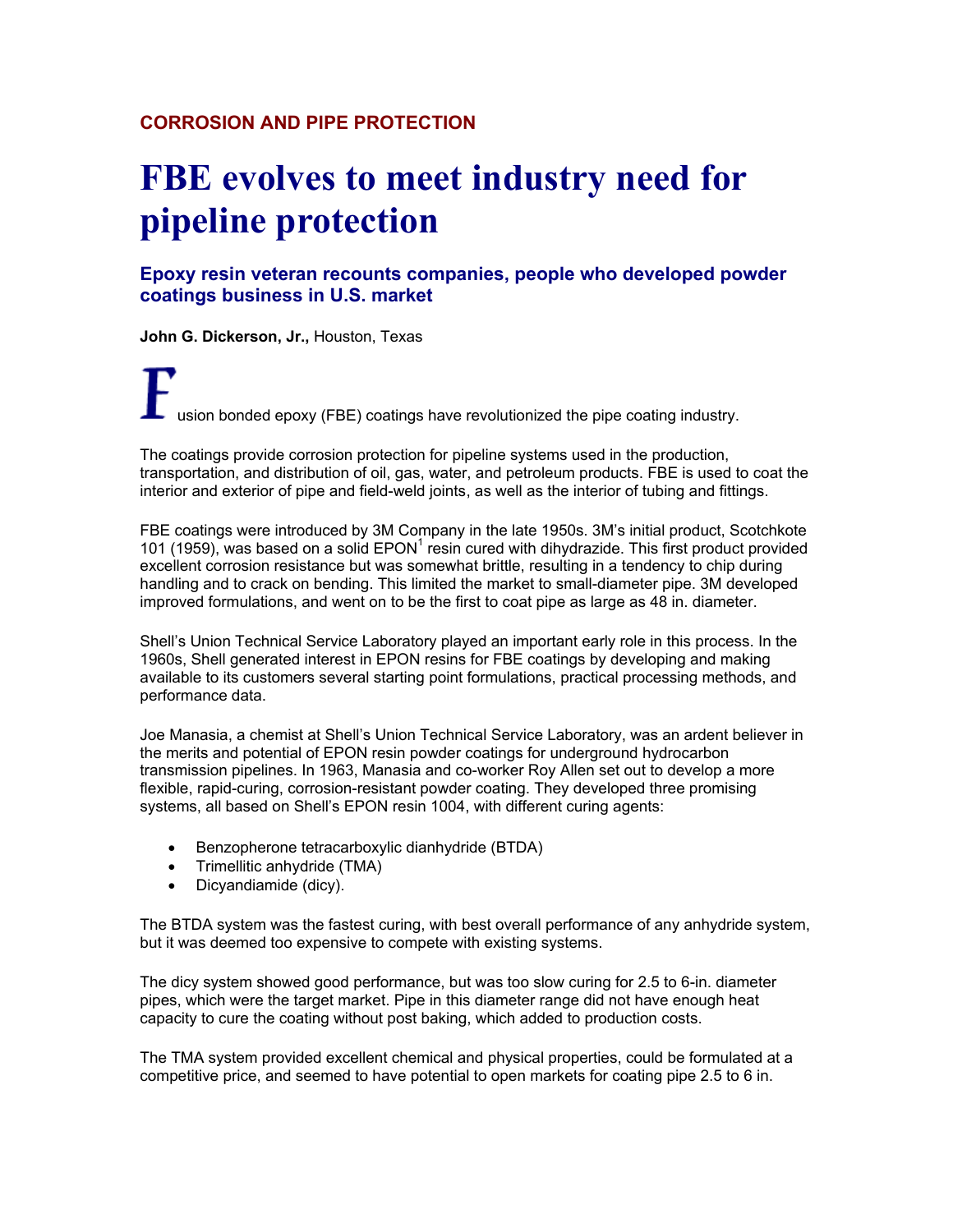## **CORROSION AND PIPE PROTECTION**

# **FBE evolves to meet industry need for pipeline protection**

**Epoxy resin veteran recounts companies, people who developed powder coatings business in U.S. market**

**John G. Dickerson, Jr.,** Houston, Texas

usion bonded epoxy (FBE) coatings have revolutionized the pipe coating industry.

The coatings provide corrosion protection for pipeline systems used in the production, transportation, and distribution of oil, gas, water, and petroleum products. FBE is used to coat the interior and exterior of pipe and field-weld joints, as well as the interior of tubing and fittings.

FBE coatings were introduced by 3M Company in the late 1950s. 3M's initial product, Scotchkote 101 (1959), was based on a solid  $E PON<sup>1</sup>$  resin cured with dihydrazide. This first product provided excellent corrosion resistance but was somewhat brittle, resulting in a tendency to chip during handling and to crack on bending. This limited the market to small-diameter pipe. 3M developed improved formulations, and went on to be the first to coat pipe as large as 48 in. diameter.

Shell's Union Technical Service Laboratory played an important early role in this process. In the 1960s, Shell generated interest in EPON resins for FBE coatings by developing and making available to its customers several starting point formulations, practical processing methods, and performance data.

Joe Manasia, a chemist at Shell's Union Technical Service Laboratory, was an ardent believer in the merits and potential of EPON resin powder coatings for underground hydrocarbon transmission pipelines. In 1963, Manasia and co-worker Roy Allen set out to develop a more flexible, rapid-curing, corrosion-resistant powder coating. They developed three promising systems, all based on Shell's EPON resin 1004, with different curing agents:

- Benzopherone tetracarboxylic dianhydride (BTDA)
- Trimellitic anhydride (TMA)
- Dicyandiamide (dicy).

The BTDA system was the fastest curing, with best overall performance of any anhydride system, but it was deemed too expensive to compete with existing systems.

The dicy system showed good performance, but was too slow curing for 2.5 to 6-in. diameter pipes, which were the target market. Pipe in this diameter range did not have enough heat capacity to cure the coating without post baking, which added to production costs.

The TMA system provided excellent chemical and physical properties, could be formulated at a competitive price, and seemed to have potential to open markets for coating pipe 2.5 to 6 in.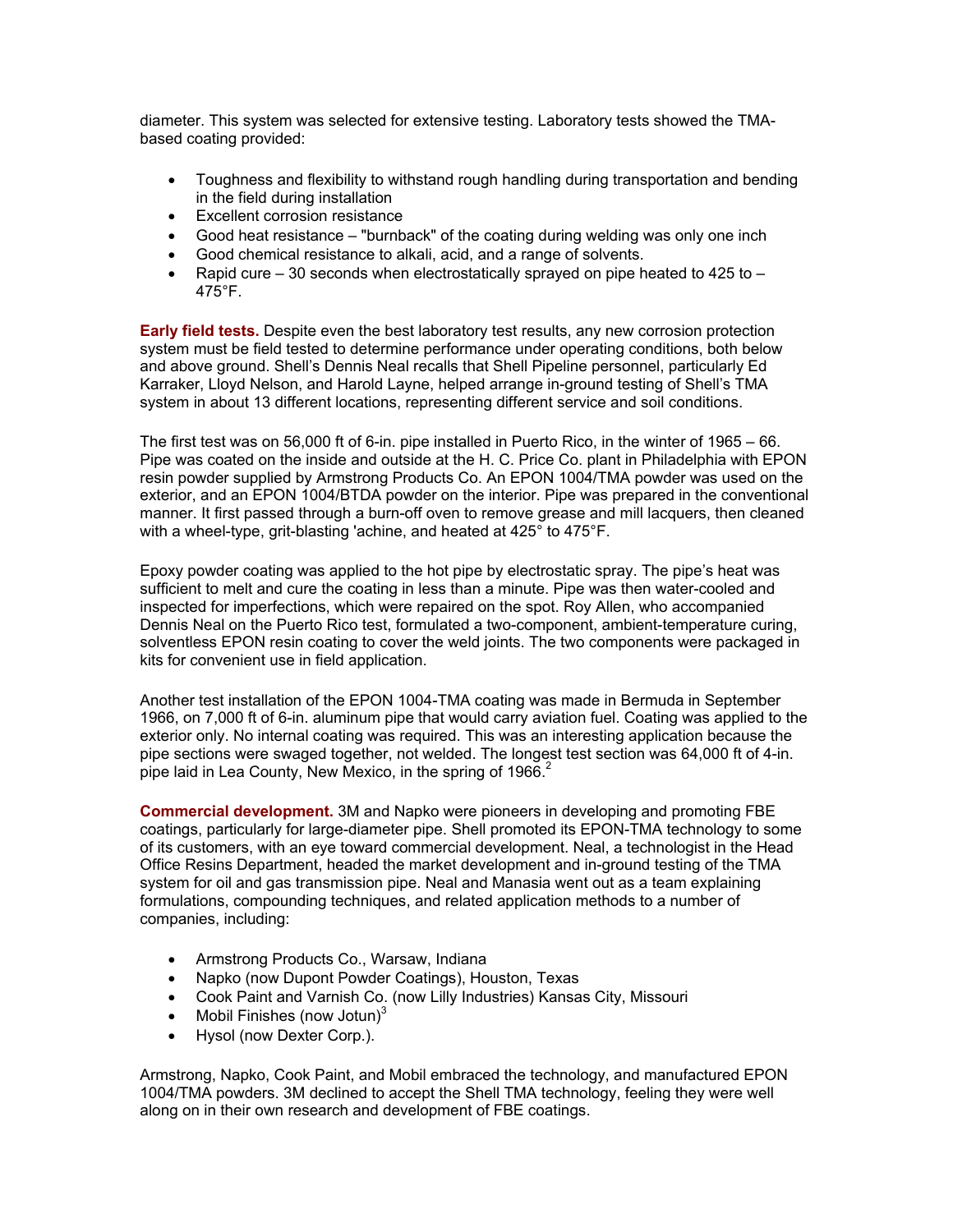diameter. This system was selected for extensive testing. Laboratory tests showed the TMAbased coating provided:

- Toughness and flexibility to withstand rough handling during transportation and bending in the field during installation
- Excellent corrosion resistance
- Good heat resistance "burnback" of the coating during welding was only one inch
- Good chemical resistance to alkali, acid, and a range of solvents.
- Rapid cure 30 seconds when electrostatically sprayed on pipe heated to  $425$  to 475°F.

**Early field tests.** Despite even the best laboratory test results, any new corrosion protection system must be field tested to determine performance under operating conditions, both below and above ground. Shell's Dennis Neal recalls that Shell Pipeline personnel, particularly Ed Karraker, Lloyd Nelson, and Harold Layne, helped arrange in-ground testing of Shell's TMA system in about 13 different locations, representing different service and soil conditions.

The first test was on 56,000 ft of 6-in. pipe installed in Puerto Rico, in the winter of 1965 – 66. Pipe was coated on the inside and outside at the H. C. Price Co. plant in Philadelphia with EPON resin powder supplied by Armstrong Products Co. An EPON 1004/TMA powder was used on the exterior, and an EPON 1004/BTDA powder on the interior. Pipe was prepared in the conventional manner. It first passed through a burn-off oven to remove grease and mill lacquers, then cleaned with a wheel-type, grit-blasting 'achine, and heated at 425° to 475°F.

Epoxy powder coating was applied to the hot pipe by electrostatic spray. The pipe's heat was sufficient to melt and cure the coating in less than a minute. Pipe was then water-cooled and inspected for imperfections, which were repaired on the spot. Roy Allen, who accompanied Dennis Neal on the Puerto Rico test, formulated a two-component, ambient-temperature curing, solventless EPON resin coating to cover the weld joints. The two components were packaged in kits for convenient use in field application.

Another test installation of the EPON 1004-TMA coating was made in Bermuda in September 1966, on 7,000 ft of 6-in. aluminum pipe that would carry aviation fuel. Coating was applied to the exterior only. No internal coating was required. This was an interesting application because the pipe sections were swaged together, not welded. The longest test section was 64,000 ft of 4-in. pipe laid in Lea County, New Mexico, in the spring of 1966.<sup>2</sup>

**Commercial development.** 3M and Napko were pioneers in developing and promoting FBE coatings, particularly for large-diameter pipe. Shell promoted its EPON-TMA technology to some of its customers, with an eye toward commercial development. Neal, a technologist in the Head Office Resins Department, headed the market development and in-ground testing of the TMA system for oil and gas transmission pipe. Neal and Manasia went out as a team explaining formulations, compounding techniques, and related application methods to a number of companies, including:

- Armstrong Products Co., Warsaw, Indiana
- Napko (now Dupont Powder Coatings), Houston, Texas
- Cook Paint and Varnish Co. (now Lilly Industries) Kansas City, Missouri
- Mobil Finishes (now Jotun) $3$
- Hysol (now Dexter Corp.).

Armstrong, Napko, Cook Paint, and Mobil embraced the technology, and manufactured EPON 1004/TMA powders. 3M declined to accept the Shell TMA technology, feeling they were well along on in their own research and development of FBE coatings.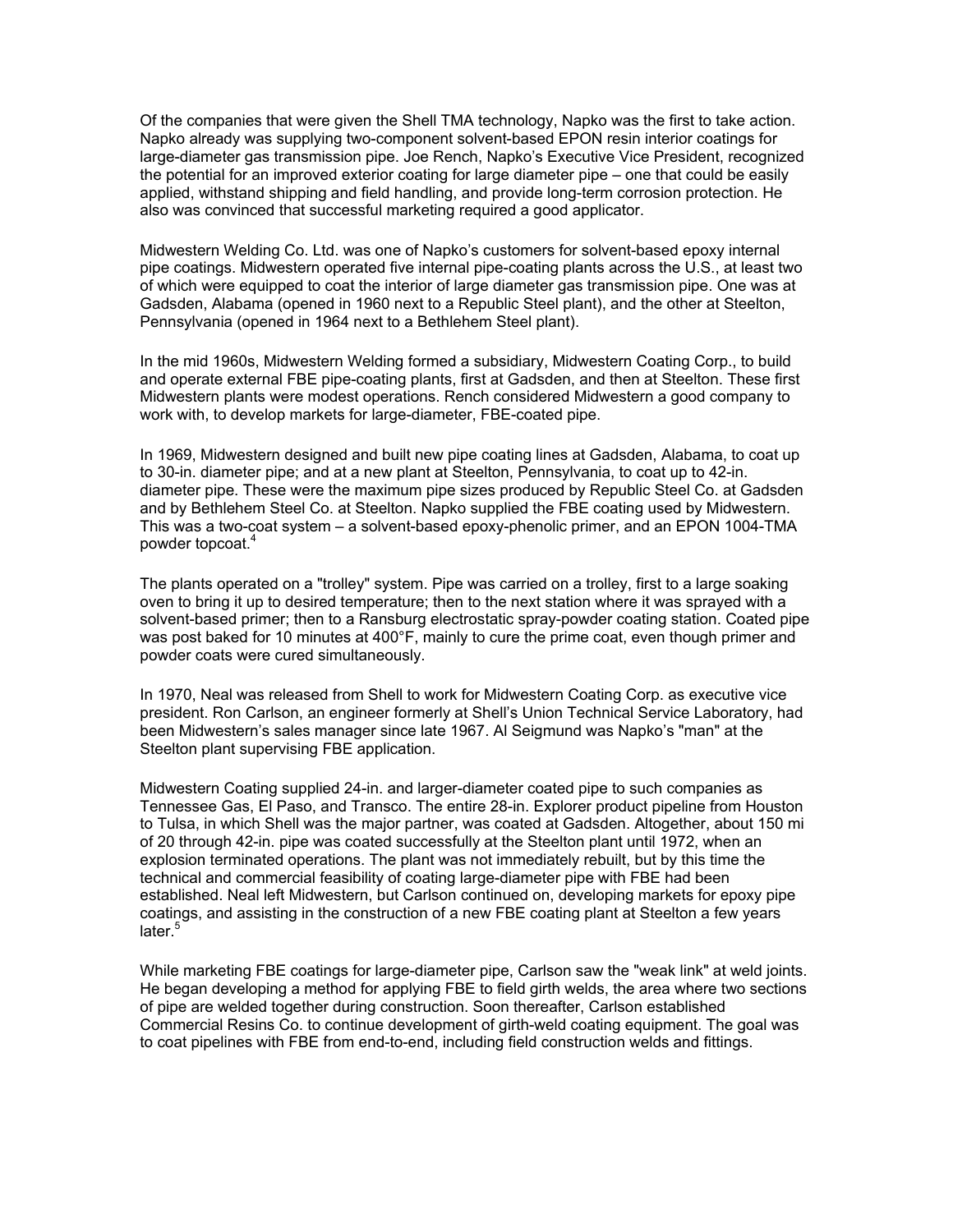Of the companies that were given the Shell TMA technology, Napko was the first to take action. Napko already was supplying two-component solvent-based EPON resin interior coatings for large-diameter gas transmission pipe. Joe Rench, Napko's Executive Vice President, recognized the potential for an improved exterior coating for large diameter pipe – one that could be easily applied, withstand shipping and field handling, and provide long-term corrosion protection. He also was convinced that successful marketing required a good applicator.

Midwestern Welding Co. Ltd. was one of Napko's customers for solvent-based epoxy internal pipe coatings. Midwestern operated five internal pipe-coating plants across the U.S., at least two of which were equipped to coat the interior of large diameter gas transmission pipe. One was at Gadsden, Alabama (opened in 1960 next to a Republic Steel plant), and the other at Steelton, Pennsylvania (opened in 1964 next to a Bethlehem Steel plant).

In the mid 1960s, Midwestern Welding formed a subsidiary, Midwestern Coating Corp., to build and operate external FBE pipe-coating plants, first at Gadsden, and then at Steelton. These first Midwestern plants were modest operations. Rench considered Midwestern a good company to work with, to develop markets for large-diameter, FBE-coated pipe.

In 1969, Midwestern designed and built new pipe coating lines at Gadsden, Alabama, to coat up to 30-in. diameter pipe; and at a new plant at Steelton, Pennsylvania, to coat up to 42-in. diameter pipe. These were the maximum pipe sizes produced by Republic Steel Co. at Gadsden and by Bethlehem Steel Co. at Steelton. Napko supplied the FBE coating used by Midwestern. This was a two-coat system – a solvent-based epoxy-phenolic primer, and an EPON 1004-TMA powder topcoat.<sup>4</sup>

The plants operated on a "trolley" system. Pipe was carried on a trolley, first to a large soaking oven to bring it up to desired temperature; then to the next station where it was sprayed with a solvent-based primer; then to a Ransburg electrostatic spray-powder coating station. Coated pipe was post baked for 10 minutes at 400°F, mainly to cure the prime coat, even though primer and powder coats were cured simultaneously.

In 1970, Neal was released from Shell to work for Midwestern Coating Corp. as executive vice president. Ron Carlson, an engineer formerly at Shell's Union Technical Service Laboratory, had been Midwestern's sales manager since late 1967. Al Seigmund was Napko's "man" at the Steelton plant supervising FBE application.

Midwestern Coating supplied 24-in. and larger-diameter coated pipe to such companies as Tennessee Gas, El Paso, and Transco. The entire 28-in. Explorer product pipeline from Houston to Tulsa, in which Shell was the major partner, was coated at Gadsden. Altogether, about 150 mi of 20 through 42-in. pipe was coated successfully at the Steelton plant until 1972, when an explosion terminated operations. The plant was not immediately rebuilt, but by this time the technical and commercial feasibility of coating large-diameter pipe with FBE had been established. Neal left Midwestern, but Carlson continued on, developing markets for epoxy pipe coatings, and assisting in the construction of a new FBE coating plant at Steelton a few years later.<sup>5</sup>

While marketing FBE coatings for large-diameter pipe, Carlson saw the "weak link" at weld joints. He began developing a method for applying FBE to field girth welds, the area where two sections of pipe are welded together during construction. Soon thereafter, Carlson established Commercial Resins Co. to continue development of girth-weld coating equipment. The goal was to coat pipelines with FBE from end-to-end, including field construction welds and fittings.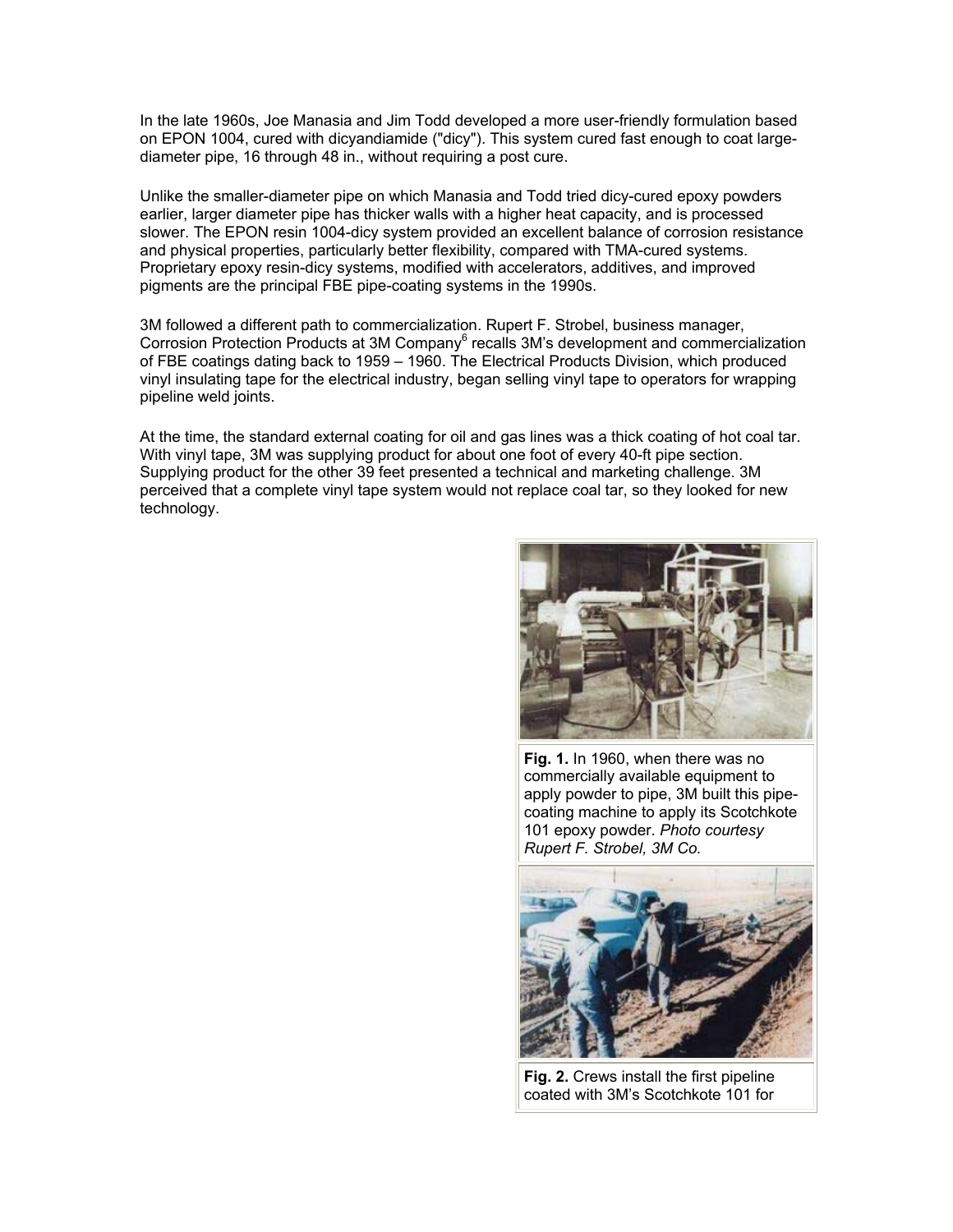In the late 1960s, Joe Manasia and Jim Todd developed a more user-friendly formulation based on EPON 1004, cured with dicyandiamide ("dicy"). This system cured fast enough to coat largediameter pipe, 16 through 48 in., without requiring a post cure.

Unlike the smaller-diameter pipe on which Manasia and Todd tried dicy-cured epoxy powders earlier, larger diameter pipe has thicker walls with a higher heat capacity, and is processed slower. The EPON resin 1004-dicy system provided an excellent balance of corrosion resistance and physical properties, particularly better flexibility, compared with TMA-cured systems. Proprietary epoxy resin-dicy systems, modified with accelerators, additives, and improved pigments are the principal FBE pipe-coating systems in the 1990s.

3M followed a different path to commercialization. Rupert F. Strobel, business manager, Corrosion Protection Products at 3M Company<sup>6</sup> recalls 3M's development and commercialization of FBE coatings dating back to 1959 – 1960. The Electrical Products Division, which produced vinyl insulating tape for the electrical industry, began selling vinyl tape to operators for wrapping pipeline weld joints.

At the time, the standard external coating for oil and gas lines was a thick coating of hot coal tar. With vinyl tape, 3M was supplying product for about one foot of every 40-ft pipe section. Supplying product for the other 39 feet presented a technical and marketing challenge. 3M perceived that a complete vinyl tape system would not replace coal tar, so they looked for new technology.



**Fig. 1.** In 1960, when there was no commercially available equipment to apply powder to pipe, 3M built this pipecoating machine to apply its Scotchkote 101 epoxy powder. *Photo courtesy Rupert F. Strobel, 3M Co.*



**Fig. 2.** Crews install the first pipeline coated with 3M's Scotchkote 101 for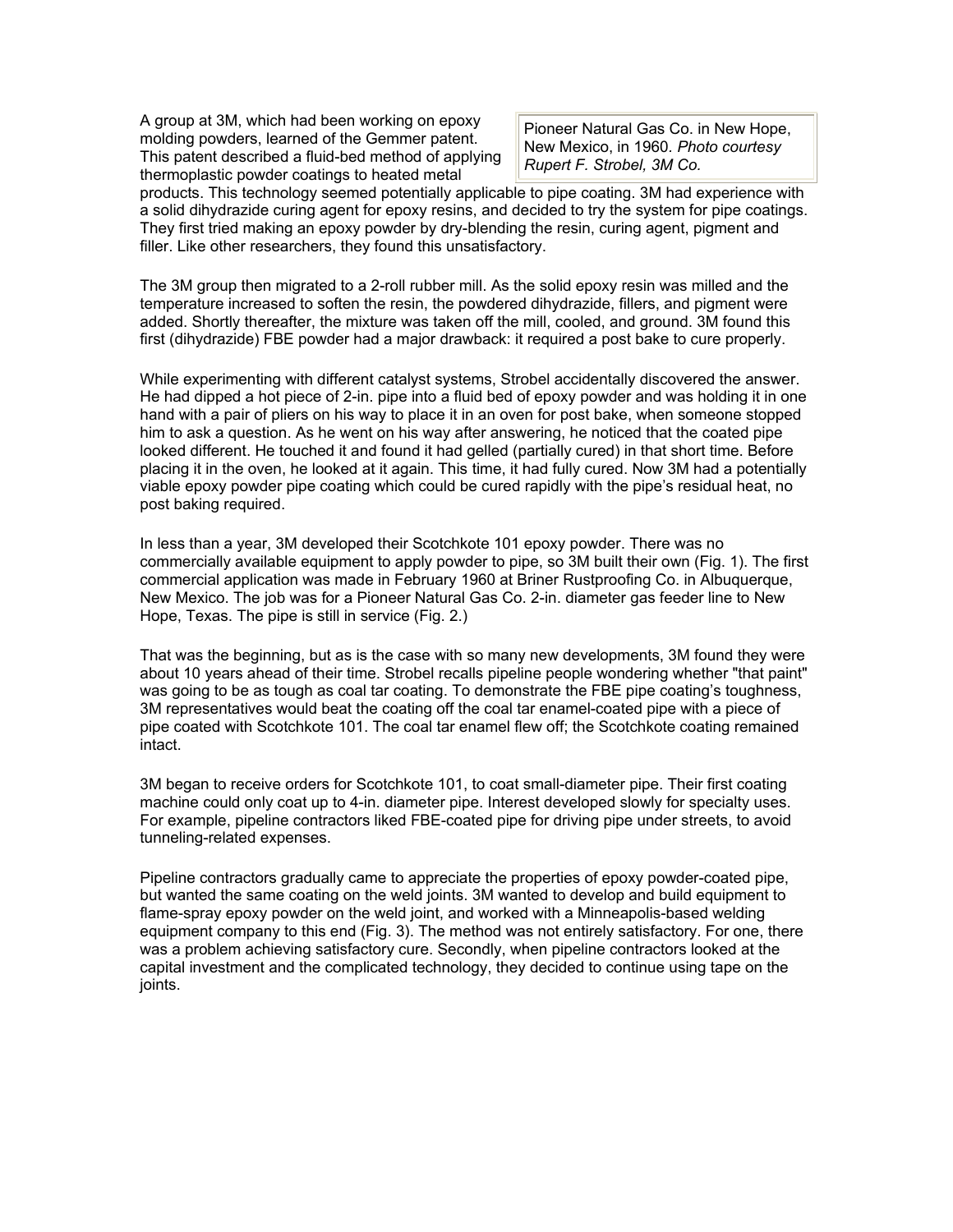A group at 3M, which had been working on epoxy molding powders, learned of the Gemmer patent. This patent described a fluid-bed method of applying thermoplastic powder coatings to heated metal

Pioneer Natural Gas Co. in New Hope, New Mexico, in 1960*. Photo courtesy Rupert F. Strobel, 3M Co.*

products. This technology seemed potentially applicable to pipe coating. 3M had experience with a solid dihydrazide curing agent for epoxy resins, and decided to try the system for pipe coatings. They first tried making an epoxy powder by dry-blending the resin, curing agent, pigment and filler. Like other researchers, they found this unsatisfactory.

The 3M group then migrated to a 2-roll rubber mill. As the solid epoxy resin was milled and the temperature increased to soften the resin, the powdered dihydrazide, fillers, and pigment were added. Shortly thereafter, the mixture was taken off the mill, cooled, and ground. 3M found this first (dihydrazide) FBE powder had a major drawback: it required a post bake to cure properly.

While experimenting with different catalyst systems, Strobel accidentally discovered the answer. He had dipped a hot piece of 2-in. pipe into a fluid bed of epoxy powder and was holding it in one hand with a pair of pliers on his way to place it in an oven for post bake, when someone stopped him to ask a question. As he went on his way after answering, he noticed that the coated pipe looked different. He touched it and found it had gelled (partially cured) in that short time. Before placing it in the oven, he looked at it again. This time, it had fully cured. Now 3M had a potentially viable epoxy powder pipe coating which could be cured rapidly with the pipe's residual heat, no post baking required.

In less than a year, 3M developed their Scotchkote 101 epoxy powder. There was no commercially available equipment to apply powder to pipe, so 3M built their own (Fig. 1). The first commercial application was made in February 1960 at Briner Rustproofing Co. in Albuquerque, New Mexico. The job was for a Pioneer Natural Gas Co. 2-in. diameter gas feeder line to New Hope, Texas. The pipe is still in service (Fig. 2.)

That was the beginning, but as is the case with so many new developments, 3M found they were about 10 years ahead of their time. Strobel recalls pipeline people wondering whether "that paint" was going to be as tough as coal tar coating. To demonstrate the FBE pipe coating's toughness, 3M representatives would beat the coating off the coal tar enamel-coated pipe with a piece of pipe coated with Scotchkote 101. The coal tar enamel flew off; the Scotchkote coating remained intact.

3M began to receive orders for Scotchkote 101, to coat small-diameter pipe. Their first coating machine could only coat up to 4-in. diameter pipe. Interest developed slowly for specialty uses. For example, pipeline contractors liked FBE-coated pipe for driving pipe under streets, to avoid tunneling-related expenses.

Pipeline contractors gradually came to appreciate the properties of epoxy powder-coated pipe, but wanted the same coating on the weld joints. 3M wanted to develop and build equipment to flame-spray epoxy powder on the weld joint, and worked with a Minneapolis-based welding equipment company to this end (Fig. 3). The method was not entirely satisfactory. For one, there was a problem achieving satisfactory cure. Secondly, when pipeline contractors looked at the capital investment and the complicated technology, they decided to continue using tape on the joints.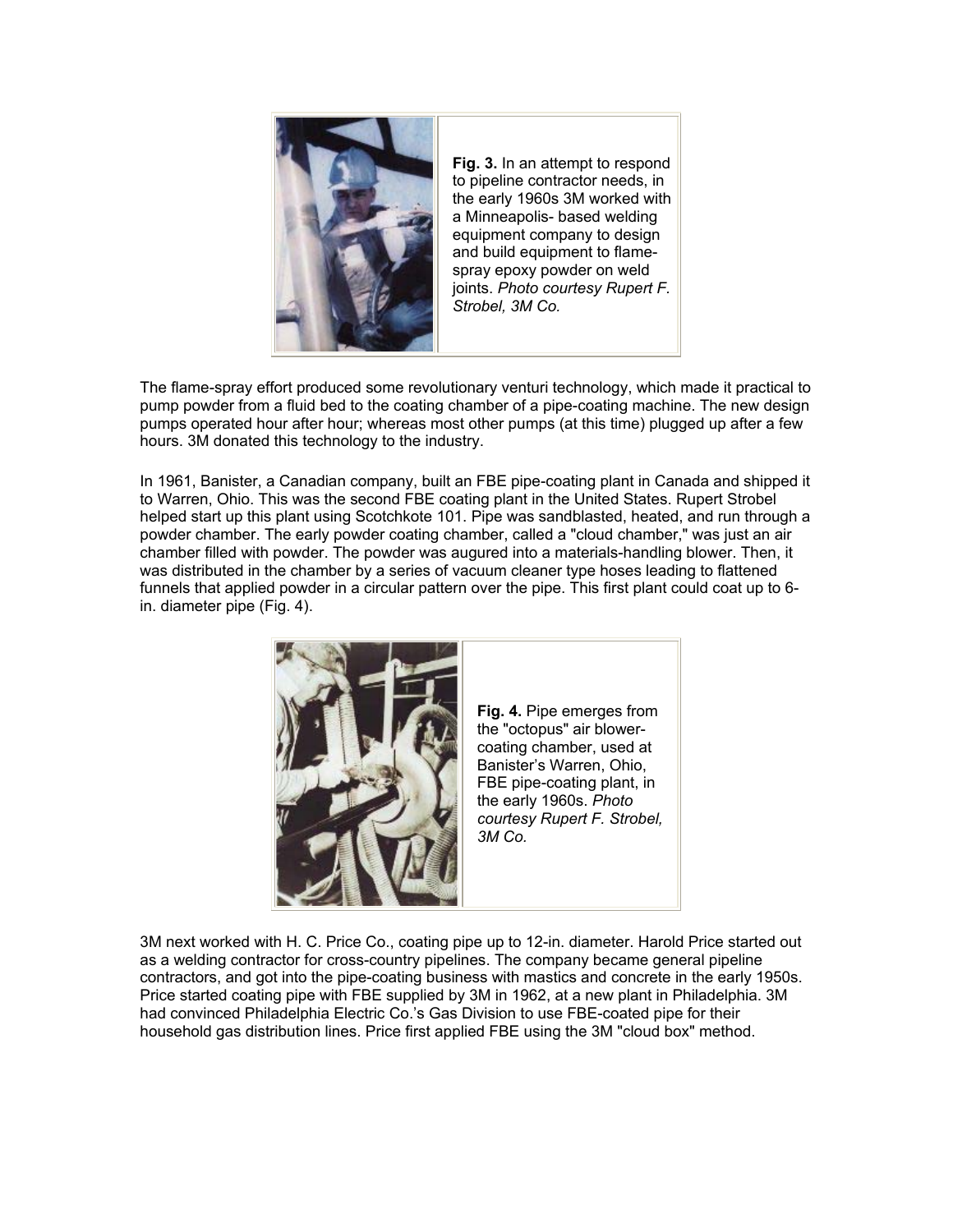

**Fig. 3.** In an attempt to respond to pipeline contractor needs, in the early 1960s 3M worked with a Minneapolis- based welding equipment company to design and build equipment to flamespray epoxy powder on weld joints. *Photo courtesy Rupert F. Strobel, 3M Co.*

The flame-spray effort produced some revolutionary venturi technology, which made it practical to pump powder from a fluid bed to the coating chamber of a pipe-coating machine. The new design pumps operated hour after hour; whereas most other pumps (at this time) plugged up after a few hours. 3M donated this technology to the industry.

In 1961, Banister, a Canadian company, built an FBE pipe-coating plant in Canada and shipped it to Warren, Ohio. This was the second FBE coating plant in the United States. Rupert Strobel helped start up this plant using Scotchkote 101. Pipe was sandblasted, heated, and run through a powder chamber. The early powder coating chamber, called a "cloud chamber," was just an air chamber filled with powder. The powder was augured into a materials-handling blower. Then, it was distributed in the chamber by a series of vacuum cleaner type hoses leading to flattened funnels that applied powder in a circular pattern over the pipe. This first plant could coat up to 6 in. diameter pipe (Fig. 4).



3M next worked with H. C. Price Co., coating pipe up to 12-in. diameter. Harold Price started out as a welding contractor for cross-country pipelines. The company became general pipeline contractors, and got into the pipe-coating business with mastics and concrete in the early 1950s. Price started coating pipe with FBE supplied by 3M in 1962, at a new plant in Philadelphia. 3M had convinced Philadelphia Electric Co.'s Gas Division to use FBE-coated pipe for their household gas distribution lines. Price first applied FBE using the 3M "cloud box" method.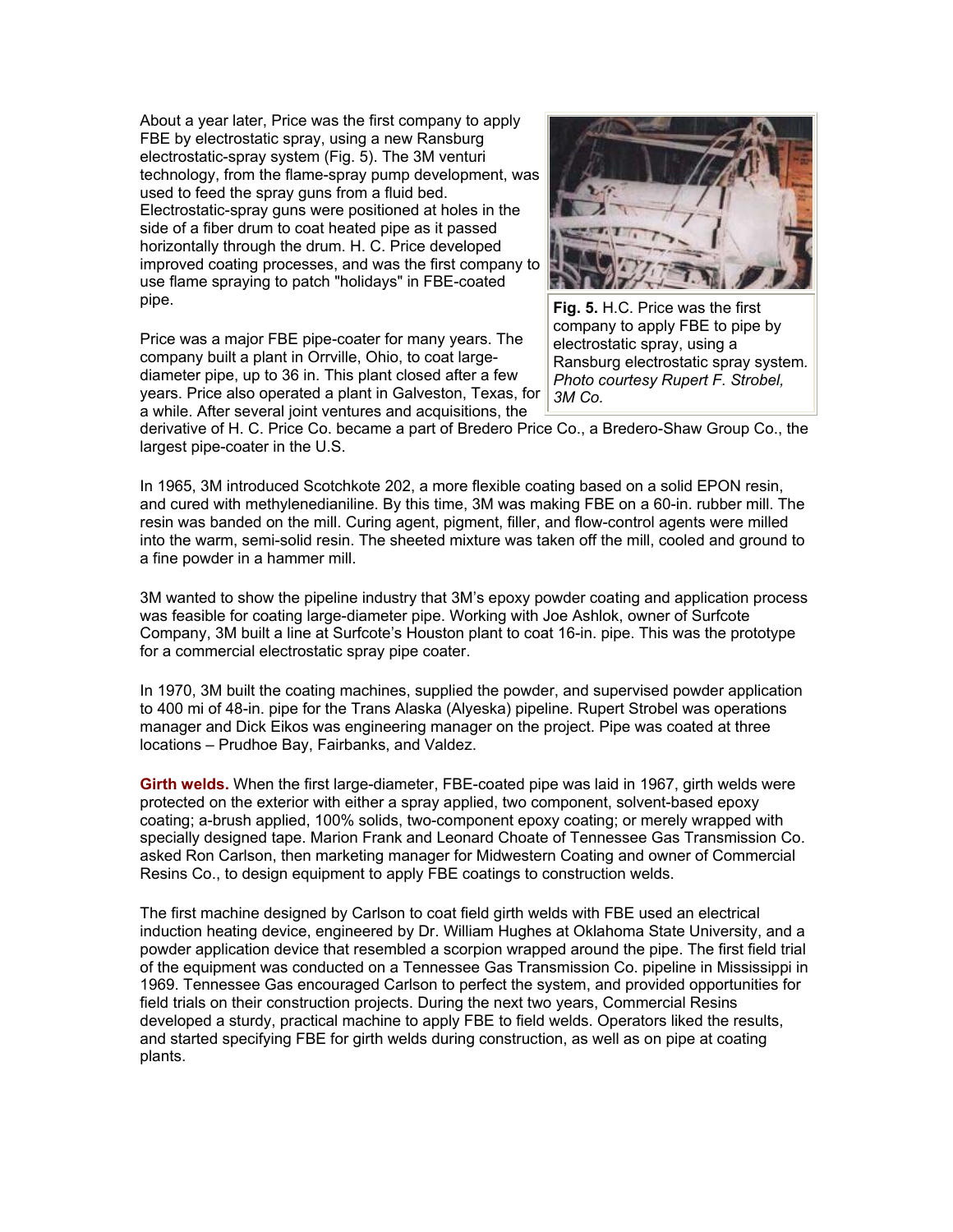About a year later, Price was the first company to apply FBE by electrostatic spray, using a new Ransburg electrostatic-spray system (Fig. 5). The 3M venturi technology, from the flame-spray pump development, was used to feed the spray guns from a fluid bed. Electrostatic-spray guns were positioned at holes in the side of a fiber drum to coat heated pipe as it passed horizontally through the drum. H. C. Price developed improved coating processes, and was the first company to use flame spraying to patch "holidays" in FBE-coated pipe.

Price was a major FBE pipe-coater for many years. The company built a plant in Orrville, Ohio, to coat largediameter pipe, up to 36 in. This plant closed after a few years. Price also operated a plant in Galveston, Texas, for a while. After several joint ventures and acquisitions, the



**Fig. 5.** H.C. Price was the first company to apply FBE to pipe by electrostatic spray, using a Ransburg electrostatic spray system*. Photo courtesy Rupert F. Strobel, 3M Co.*

derivative of H. C. Price Co. became a part of Bredero Price Co., a Bredero-Shaw Group Co., the largest pipe-coater in the U.S.

In 1965, 3M introduced Scotchkote 202, a more flexible coating based on a solid EPON resin, and cured with methylenedianiline. By this time, 3M was making FBE on a 60-in. rubber mill. The resin was banded on the mill. Curing agent, pigment, filler, and flow-control agents were milled into the warm, semi-solid resin. The sheeted mixture was taken off the mill, cooled and ground to a fine powder in a hammer mill.

3M wanted to show the pipeline industry that 3M's epoxy powder coating and application process was feasible for coating large-diameter pipe. Working with Joe Ashlok, owner of Surfcote Company, 3M built a line at Surfcote's Houston plant to coat 16-in. pipe. This was the prototype for a commercial electrostatic spray pipe coater.

In 1970, 3M built the coating machines, supplied the powder, and supervised powder application to 400 mi of 48-in. pipe for the Trans Alaska (Alyeska) pipeline. Rupert Strobel was operations manager and Dick Eikos was engineering manager on the project. Pipe was coated at three locations – Prudhoe Bay, Fairbanks, and Valdez.

**Girth welds.** When the first large-diameter, FBE-coated pipe was laid in 1967, girth welds were protected on the exterior with either a spray applied, two component, solvent-based epoxy coating; a-brush applied, 100% solids, two-component epoxy coating; or merely wrapped with specially designed tape. Marion Frank and Leonard Choate of Tennessee Gas Transmission Co. asked Ron Carlson, then marketing manager for Midwestern Coating and owner of Commercial Resins Co., to design equipment to apply FBE coatings to construction welds.

The first machine designed by Carlson to coat field girth welds with FBE used an electrical induction heating device, engineered by Dr. William Hughes at Oklahoma State University, and a powder application device that resembled a scorpion wrapped around the pipe. The first field trial of the equipment was conducted on a Tennessee Gas Transmission Co. pipeline in Mississippi in 1969. Tennessee Gas encouraged Carlson to perfect the system, and provided opportunities for field trials on their construction projects. During the next two years, Commercial Resins developed a sturdy, practical machine to apply FBE to field welds. Operators liked the results, and started specifying FBE for girth welds during construction, as well as on pipe at coating plants.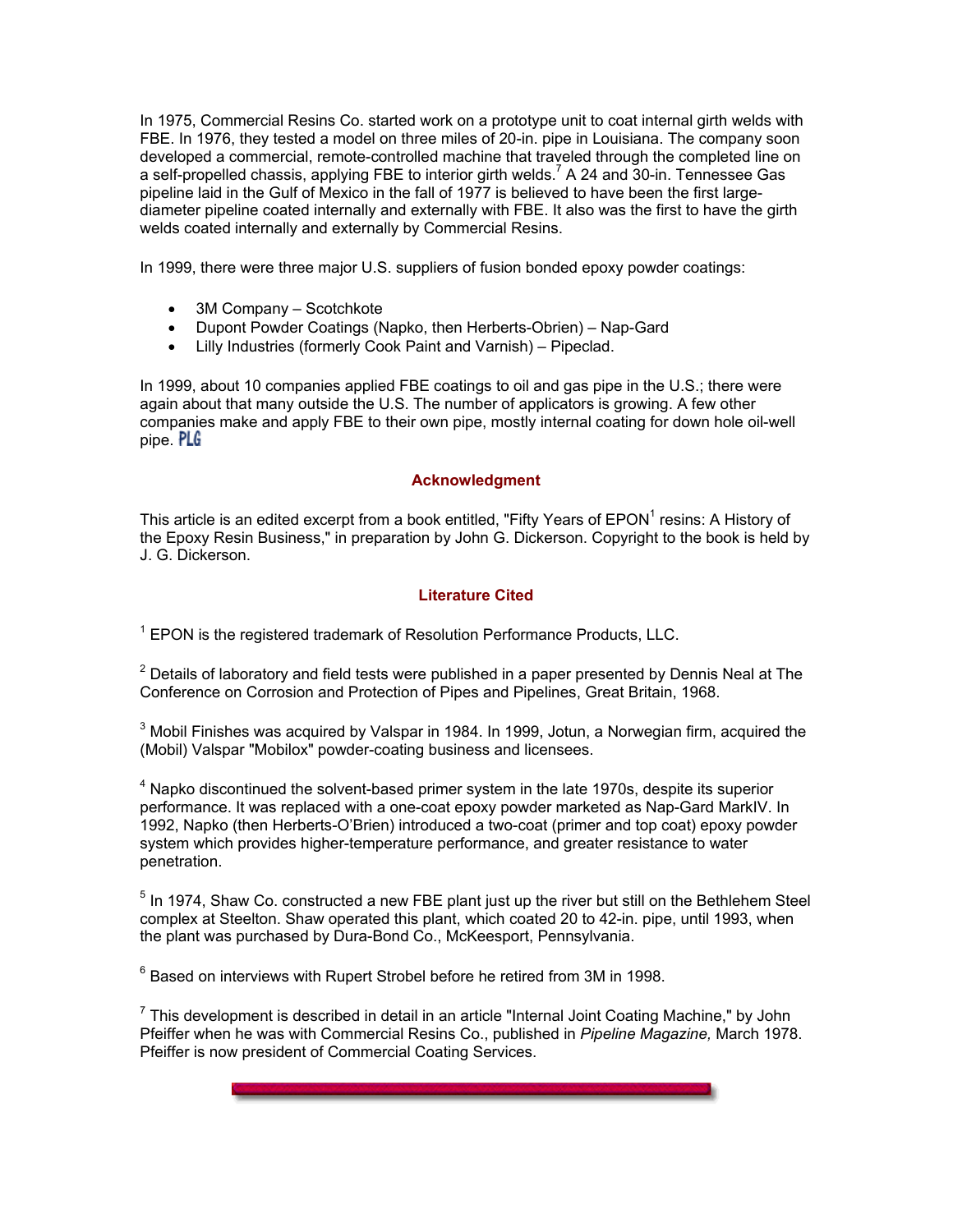In 1975, Commercial Resins Co. started work on a prototype unit to coat internal girth welds with FBE. In 1976, they tested a model on three miles of 20-in. pipe in Louisiana. The company soon developed a commercial, remote-controlled machine that traveled through the completed line on a self-propelled chassis, applying FBE to interior girth welds.<sup>7</sup> A 24 and 30-in. Tennessee Gas pipeline laid in the Gulf of Mexico in the fall of 1977 is believed to have been the first largediameter pipeline coated internally and externally with FBE. It also was the first to have the girth welds coated internally and externally by Commercial Resins.

In 1999, there were three major U.S. suppliers of fusion bonded epoxy powder coatings:

- 3M Company Scotchkote
- Dupont Powder Coatings (Napko, then Herberts-Obrien) Nap-Gard
- Lilly Industries (formerly Cook Paint and Varnish) Pipeclad.

In 1999, about 10 companies applied FBE coatings to oil and gas pipe in the U.S.; there were again about that many outside the U.S. The number of applicators is growing. A few other companies make and apply FBE to their own pipe, mostly internal coating for down hole oil-well pipe. PLG

#### **Acknowledgment**

This article is an edited excerpt from a book entitled, "Fifty Years of EPON<sup>1</sup> resins: A History of the Epoxy Resin Business," in preparation by John G. Dickerson. Copyright to the book is held by J. G. Dickerson.

#### **Literature Cited**

 $1$  EPON is the registered trademark of Resolution Performance Products, LLC.

 $^{2}$  Details of laboratory and field tests were published in a paper presented by Dennis Neal at The Conference on Corrosion and Protection of Pipes and Pipelines, Great Britain, 1968.

 $^3$  Mobil Finishes was acquired by Valspar in 1984. In 1999, Jotun, a Norwegian firm, acquired the (Mobil) Valspar "Mobilox" powder-coating business and licensees.

 $4$  Napko discontinued the solvent-based primer system in the late 1970s, despite its superior performance. It was replaced with a one-coat epoxy powder marketed as Nap-Gard MarkIV. In 1992, Napko (then Herberts-O'Brien) introduced a two-coat (primer and top coat) epoxy powder system which provides higher-temperature performance, and greater resistance to water penetration.

 $<sup>5</sup>$  In 1974, Shaw Co. constructed a new FBE plant just up the river but still on the Bethlehem Steel</sup> complex at Steelton. Shaw operated this plant, which coated 20 to 42-in. pipe, until 1993, when the plant was purchased by Dura-Bond Co., McKeesport, Pennsylvania.

 $^6$  Based on interviews with Rupert Strobel before he retired from 3M in 1998.

 $<sup>7</sup>$  This development is described in detail in an article "Internal Joint Coating Machine," by John</sup> Pfeiffer when he was with Commercial Resins Co., published in *Pipeline Magazine,* March 1978. Pfeiffer is now president of Commercial Coating Services.